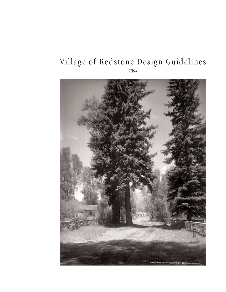## Village of Redstone Design Guidelines

*2004*

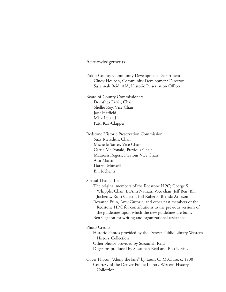## Acknowledgements

Pitkin County Community Development Department Cindy Houben, Community Development Director Suzannah Reid, AIA, Historic Preservation Officer

Board of County Commissioners Dorothea Farris, Chair Shellie Roy, Vice Chair Jack Hatfield Mick Ireland Patti Kay-Clapper

Redstone Historic Preservation Commission Suzy Meredith, Chair Michelle Sorter, Vice Chair Carrie McDonald, Previous Chair Maureen Rogers, Previous Vice Chair Ann Martin Darrell Munsell Bill Jochems

Special Thanks To:

The original members of the Redstone HPC; George S. Whipple, Chair, LuAnn Nathan, Vice chair, Jeff Beir, Bill Jochems, Ruth Chacto, Bill Roberts, Brenda Arneson Roxanne Eflin, Amy Guthrie, and other past members of the Redstone HPC for contributions to the previous versions of the guidelines upon which the new guidelines are built. Ben Gagnon for writing and organizational assistance.

Photo Credits:

Historic Photos provided by the Denver Public Library Western History Collection Other photos provided by Suzannah Reid Diagrams produced by Suzannah Reid and Bob Nevins

Cover Photo: "Along the lane" by Louis C. McClure, c. 1900 Courtesy of the Denver Public Library Western History Collection